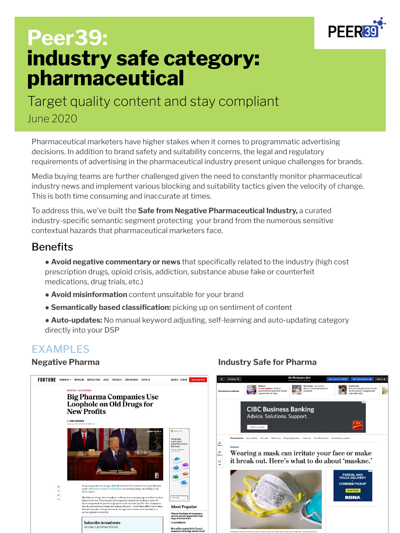

# **Peer39: industry safe category: pharmaceutical**

Target quality content and stay compliant June 2020

Pharmaceutical marketers have higher stakes when it comes to programmatic advertising decisions. In addition to brand safety and suitability concerns, the legal and regulatory requirements of advertising in the pharmaceutical industry present unique challenges for brands.

Media buying teams are further challenged given the need to constantly monitor pharmaceutical industry news and implement various blocking and suitability tactics given the velocity of change. This is both time consuming and inaccurate at times.

To address this, we've built the **Safe from Negative Pharmaceutical Industry,** a curated industry-specific semantic segment protecting your brand from the numerous sensitive contextual hazards that pharmaceutical marketers face.

### **Benefits**

● **Avoid negative commentary or news** that specifically related to the industry (high cost prescription drugs, opioid crisis, addiction, substance abuse fake or counterfeit medications, drug trials, etc.)

- **Avoid misinformation** content unsuitable for your brand
- **Semantically based classification:** picking up on sentiment of content

● **Auto-updates:** No manual keyword adjusting, self-learning and auto-updating category directly into your DSP

### EXAMPLES



### **Negative Pharma Industry Safe for Pharma**